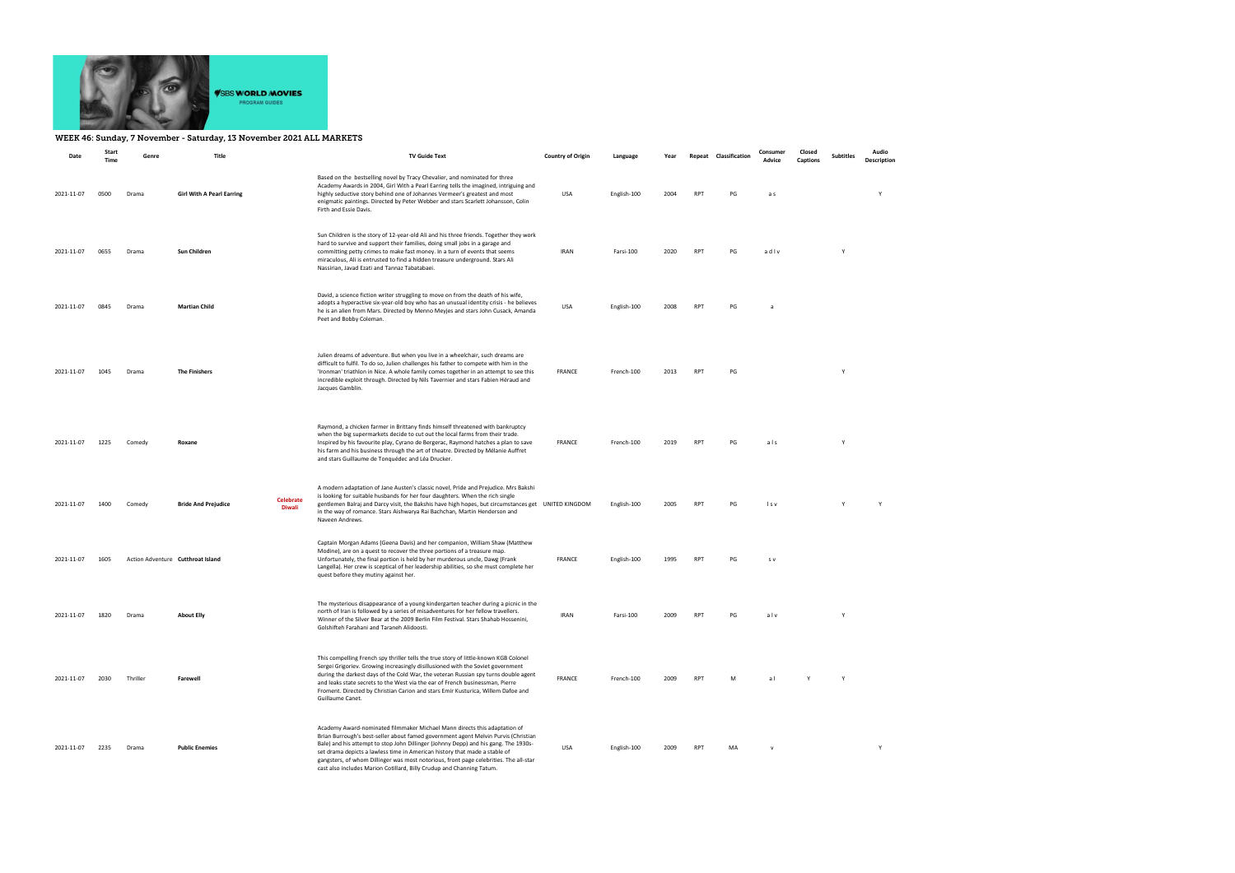

## WEEK 46: Sunday, 7 November - Saturday, 13 November 2021 ALL MARKETS

| Date                  | Start<br>Time | Genre    | Title                             |                                   | <b>TV Guide Text</b>                                                                                                                                                                                                                                                                                                                                                                                                                                                                                   | <b>Country of Origin</b> | Language    | Year |            | Repeat Classification | Consumer<br>Advice | Closed<br>Captions | <b>Subtitles</b> | Audio<br>Description |
|-----------------------|---------------|----------|-----------------------------------|-----------------------------------|--------------------------------------------------------------------------------------------------------------------------------------------------------------------------------------------------------------------------------------------------------------------------------------------------------------------------------------------------------------------------------------------------------------------------------------------------------------------------------------------------------|--------------------------|-------------|------|------------|-----------------------|--------------------|--------------------|------------------|----------------------|
| 2021-11-07            | 0500          | Drama    | <b>Girl With A Pearl Earring</b>  |                                   | Based on the bestselling novel by Tracy Chevalier, and nominated for three<br>Academy Awards in 2004, Girl With a Pearl Earring tells the imagined, intriguing and<br>highly seductive story behind one of Johannes Vermeer's greatest and most<br>enigmatic paintings. Directed by Peter Webber and stars Scarlett Johansson, Colin<br>Firth and Essie Davis.                                                                                                                                         | USA                      | English-100 | 2004 | <b>RPT</b> | PG                    | a s                |                    |                  | Y                    |
| 2021-11-07            | 0655          | Drama    | Sun Children                      |                                   | Sun Children is the story of 12-year-old Ali and his three friends. Together they work<br>hard to survive and support their families, doing small jobs in a garage and<br>committing petty crimes to make fast money. In a turn of events that seems<br>miraculous, Ali is entrusted to find a hidden treasure underground. Stars Ali<br>Nassirian, Javad Ezati and Tannaz Tabatabaei.                                                                                                                 | IRAN                     | Farsi-100   | 2020 | RPT        | PG                    | adlv               |                    |                  |                      |
| 2021-11-07            | 0845          | Drama    | <b>Martian Child</b>              |                                   | David, a science fiction writer struggling to move on from the death of his wife,<br>adopts a hyperactive six-year-old boy who has an unusual identity crisis - he believes<br>he is an alien from Mars. Directed by Menno Meyjes and stars John Cusack, Amanda<br>Peet and Bobby Coleman.                                                                                                                                                                                                             | USA                      | English-100 | 2008 | <b>RPT</b> | PG                    | a                  |                    |                  |                      |
| 2021-11-07            | 1045          | Drama    | <b>The Finishers</b>              |                                   | Julien dreams of adventure. But when you live in a wheelchair, such dreams are<br>difficult to fulfil. To do so, Julien challenges his father to compete with him in the<br>'Ironman' triathlon in Nice. A whole family comes together in an attempt to see this<br>incredible exploit through. Directed by Nils Tavernier and stars Fabien Héraud and<br>Jacques Gamblin.                                                                                                                             | FRANCE                   | French-100  | 2013 | <b>RPT</b> | PG                    |                    |                    | Y                |                      |
| 2021-11-07            | 1225          | Comedy   | Roxane                            |                                   | Raymond, a chicken farmer in Brittany finds himself threatened with bankruptcy<br>when the big supermarkets decide to cut out the local farms from their trade.<br>Inspired by his favourite play, Cyrano de Bergerac, Raymond hatches a plan to save<br>his farm and his business through the art of theatre. Directed by Mélanie Auffret<br>and stars Guillaume de Tonquédec and Léa Drucker.                                                                                                        | <b>FRANCE</b>            | French-100  | 2019 | <b>RPT</b> | PG                    | als                |                    | Y                |                      |
| 2021-11-07            | 1400          | Comedy   | <b>Bride And Prejudice</b>        | <b>Celebrate</b><br><b>Diwali</b> | A modern adaptation of Jane Austen's classic novel, Pride and Prejudice. Mrs Bakshi<br>is looking for suitable husbands for her four daughters. When the rich single<br>gentlemen Balraj and Darcy visit, the Bakshis have high hopes, but circumstances get UNITED KINGDOM<br>in the way of romance. Stars Aishwarya Rai Bachchan, Martin Henderson and<br>Naveen Andrews.                                                                                                                            |                          | English-100 | 2005 | <b>RPT</b> | PG                    | l s v              |                    | Y                | Y                    |
| 2021-11-07            | 1605          |          | Action Adventure Cutthroat Island |                                   | Captain Morgan Adams (Geena Davis) and her companion, William Shaw (Matthew<br>Modine), are on a quest to recover the three portions of a treasure map.<br>Unfortunately, the final portion is held by her murderous uncle, Dawg (Frank<br>Langella). Her crew is sceptical of her leadership abilities, so she must complete her<br>quest before they mutiny against her.                                                                                                                             | <b>FRANCE</b>            | English-100 | 1995 | <b>RPT</b> | PG                    | s v                |                    |                  |                      |
| 2021-11-07 1820 Drama |               |          | <b>About Elly</b>                 |                                   | The mysterious disappearance of a young kindergarten teacher during a picnic in the<br>north of Iran is followed by a series of misadventures for her fellow travellers.<br>Winner of the Silver Bear at the 2009 Berlin Film Festival. Stars Shahab Hossenini,<br>Golshifteh Farahani and Taraneh Alidoosti.                                                                                                                                                                                          | <b>IRAN</b>              | Farsi-100   | 2009 | <b>RPT</b> | DG.                   | 21v                |                    |                  |                      |
| 2021-11-07            | 2030          | Thriller | Farewell                          |                                   | This compelling French spy thriller tells the true story of little-known KGB Colonel<br>Sergei Grigoriev. Growing increasingly disillusioned with the Soviet government<br>during the darkest days of the Cold War, the veteran Russian spy turns double agent<br>and leaks state secrets to the West via the ear of French businessman, Pierre<br>Froment. Directed by Christian Carion and stars Emir Kusturica, Willem Dafoe and<br>Guillaume Canet.                                                | <b>FRANCE</b>            | French-100  | 2009 | <b>RPT</b> | M                     | al                 |                    | Y                |                      |
| 2021-11-07            | 2235          | Drama    | <b>Public Enemies</b>             |                                   | Academy Award-nominated filmmaker Michael Mann directs this adaptation of<br>Brian Burrough's best-seller about famed government agent Melvin Purvis (Christian<br>Bale) and his attempt to stop John Dillinger (Johnny Depp) and his gang. The 1930s-<br>set drama depicts a lawless time in American history that made a stable of<br>gangsters, of whom Dillinger was most notorious, front page celebrities. The all-star<br>cast also includes Marion Cotillard, Billy Crudup and Channing Tatum. | USA                      | English-100 | 2009 | <b>RPT</b> | MA                    | $\mathsf{v}$       |                    |                  | Y                    |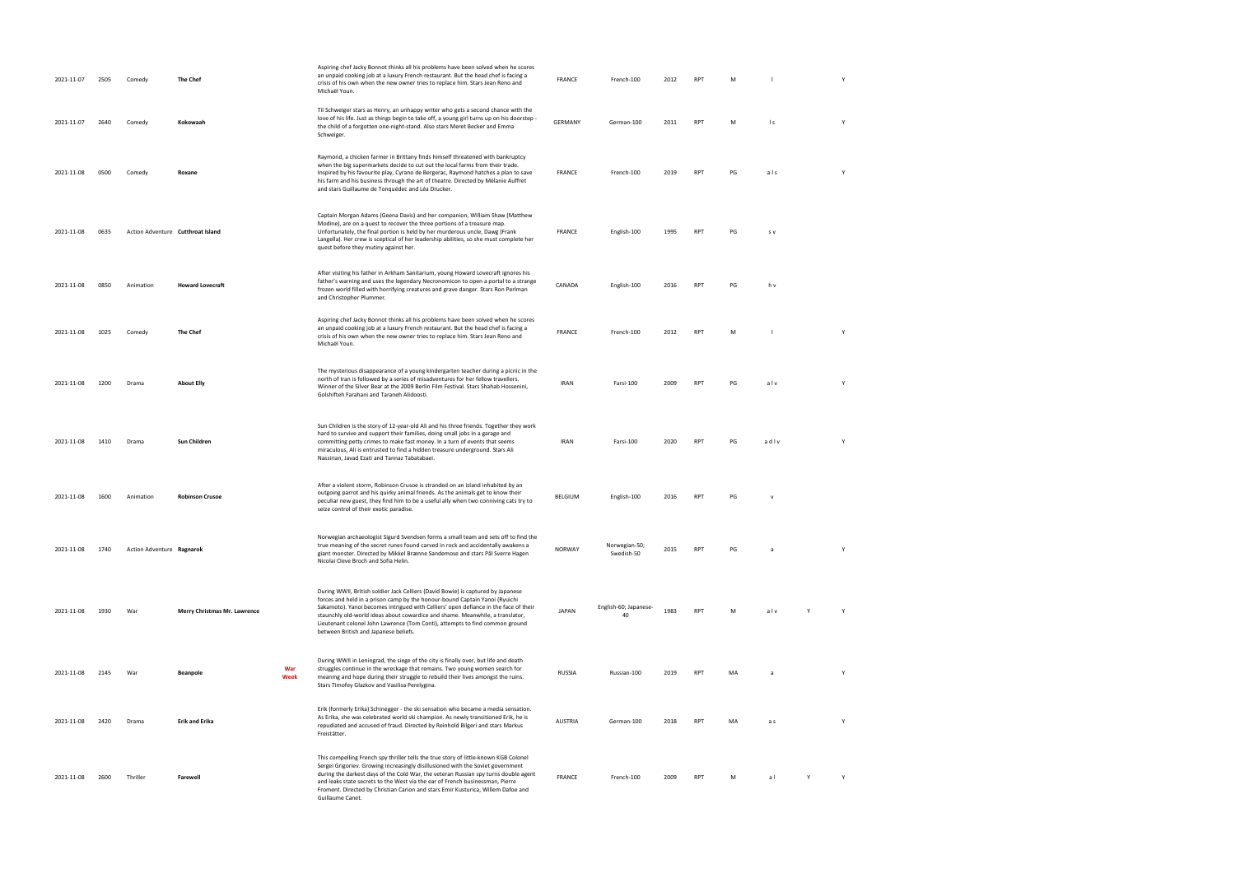| 2021-11-07 | 2505 | Comedy                            | <b>The Chef</b>              |             | Aspiring chef Jacky Bonnot thinks all his problems have been solved when he scores<br>an unpaid cooking job at a luxury French restaurant. But the head chef is facing a<br>crisis of his own when the new owner tries to replace him. Stars Jean Reno and<br>Michaël Youn.                                                                                                                                                                                       | <b>FRANCE</b>  | French-100                  | 2012 | <b>RPT</b> | M  |                | Y |
|------------|------|-----------------------------------|------------------------------|-------------|-------------------------------------------------------------------------------------------------------------------------------------------------------------------------------------------------------------------------------------------------------------------------------------------------------------------------------------------------------------------------------------------------------------------------------------------------------------------|----------------|-----------------------------|------|------------|----|----------------|---|
| 2021-11-07 | 2640 | Comedy                            | Kokowaah                     |             | Til Schweiger stars as Henry, an unhappy writer who gets a second chance with the<br>love of his life. Just as things begin to take off, a young girl turns up on his doorstep -<br>the child of a forgotten one-night-stand. Also stars Meret Becker and Emma<br>Schweiger.                                                                                                                                                                                      | GERMANY        | German-100                  | 2011 | <b>RPT</b> | M  | $\mathsf{I}$ s | Y |
| 2021-11-08 | 0500 | Comedy                            | Roxane                       |             | Raymond, a chicken farmer in Brittany finds himself threatened with bankruptcy<br>when the big supermarkets decide to cut out the local farms from their trade.<br>Inspired by his favourite play, Cyrano de Bergerac, Raymond hatches a plan to save<br>his farm and his business through the art of theatre. Directed by Mélanie Auffret<br>and stars Guillaume de Tonquédec and Léa Drucker.                                                                   | FRANCE         | French-100                  | 2019 | <b>RPT</b> | PG | als            | Y |
| 2021-11-08 | 0635 | Action Adventure Cutthroat Island |                              |             | Captain Morgan Adams (Geena Davis) and her companion, William Shaw (Matthew<br>Modine), are on a quest to recover the three portions of a treasure map.<br>Unfortunately, the final portion is held by her murderous uncle, Dawg (Frank<br>Langella). Her crew is sceptical of her leadership abilities, so she must complete her<br>quest before they mutiny against her.                                                                                        | FRANCE         | English-100                 | 1995 | <b>RPT</b> | PG | s v            |   |
| 2021-11-08 | 0850 | Animation                         | <b>Howard Lovecraft</b>      |             | After visiting his father in Arkham Sanitarium, young Howard Lovecraft ignores his<br>father's warning and uses the legendary Necronomicon to open a portal to a strange<br>frozen world filled with horrifying creatures and grave danger. Stars Ron Perlman<br>and Christopher Plummer.                                                                                                                                                                         | CANADA         | English-100                 | 2016 | <b>RPT</b> | PG | h v            |   |
| 2021-11-08 | 1025 | Comedy                            | The Chef                     |             | Aspiring chef Jacky Bonnot thinks all his problems have been solved when he scores<br>an unpaid cooking job at a luxury French restaurant. But the head chef is facing a<br>crisis of his own when the new owner tries to replace him. Stars Jean Reno and<br>Michaël Youn.                                                                                                                                                                                       | FRANCE         | French-100                  | 2012 | RPT        | M  |                | Υ |
| 2021-11-08 | 1200 | Drama                             | <b>About Elly</b>            |             | The mysterious disappearance of a young kindergarten teacher during a picnic in the<br>north of Iran is followed by a series of misadventures for her fellow travellers.<br>Winner of the Silver Bear at the 2009 Berlin Film Festival. Stars Shahab Hossenini,<br>Golshifteh Farahani and Taraneh Alidoosti.                                                                                                                                                     | <b>IRAN</b>    | Farsi-100                   | 2009 | <b>RPT</b> | PG | alv            | Y |
| 2021-11-08 | 1410 | Drama                             | Sun Children                 |             | Sun Children is the story of 12-year-old Ali and his three friends. Together they work<br>hard to survive and support their families, doing small jobs in a garage and<br>committing petty crimes to make fast money. In a turn of events that seems<br>miraculous, Ali is entrusted to find a hidden treasure underground. Stars Ali<br>Nassirian, Javad Ezati and Tannaz Tabatabaei.                                                                            | <b>IRAN</b>    | Farsi-100                   | 2020 | <b>RPT</b> | PG | adlv           | Y |
| 2021-11-08 | 1600 | Animation                         | <b>Robinson Crusoe</b>       |             | After a violent storm, Robinson Crusoe is stranded on an island inhabited by an<br>outgoing parrot and his quirky animal friends. As the animals get to know their<br>peculiar new guest, they find him to be a useful ally when two conniving cats try to<br>seize control of their exotic paradise.                                                                                                                                                             | BELGIUM        | English-100                 | 2016 | <b>RPT</b> | PG | $\mathsf{v}$   |   |
| 2021-11-08 | 1740 | Action Adventure Ragnarok         |                              |             | Norwegian archaeologist Sigurd Svendsen forms a small team and sets off to find the<br>true meaning of the secret runes found carved in rock and accidentally awakens a<br>giant monster. Directed by Mikkel Brænne Sandemose and stars Pål Sverre Hagen<br>Nicolai Cleve Broch and Sofia Helin.                                                                                                                                                                  | <b>NORWAY</b>  | Norwegian-50;<br>Swedish-50 | 2015 | <b>RPT</b> | PG | a              | Y |
| 2021-11-08 | 1930 | War                               | Merry Christmas Mr. Lawrence |             | During WWII, British soldier Jack Celliers (David Bowie) is captured by Japanese<br>forces and held in a prison camp by the honour-bound Captain Yanoi (Ryuichi<br>Sakamoto). Yanoi becomes intrigued with Celliers' open defiance in the face of their<br>staunchly old-world ideas about cowardice and shame. Meanwhile, a translator,<br>Lieutenant colonel John Lawrence (Tom Conti), attempts to find common ground<br>between British and Japanese beliefs. | <b>JAPAN</b>   | English-60; Japanese-<br>40 | 1983 | <b>RPT</b> | M  | alv            | Y |
| 2021-11-08 | 2145 | War                               | <b>Beanpole</b>              | War<br>Week | During WWII in Leningrad, the siege of the city is finally over, but life and death<br>struggles continue in the wreckage that remains. Two young women search for<br>meaning and hope during their struggle to rebuild their lives amongst the ruins.<br>Stars Timofey Glazkov and Vasilisa Perelygina.                                                                                                                                                          | <b>RUSSIA</b>  | Russian-100                 | 2019 | <b>RPT</b> | MA | a              | Y |
| 2021-11-08 | 2420 | Drama                             | <b>Erik and Erika</b>        |             | Erik (formerly Erika) Schinegger - the ski sensation who became a media sensation.<br>As Erika, she was celebrated world ski champion. As newly transitioned Erik, he is<br>repudiated and accused of fraud. Directed by Reinhold Bilgeri and stars Markus<br>Freistätter.                                                                                                                                                                                        | <b>AUSTRIA</b> | German-100                  | 2018 | <b>RPT</b> | MA | a s            | Y |
| 2021-11-08 | 2600 | Thriller                          | Farewell                     |             | This compelling French spy thriller tells the true story of little-known KGB Colonel<br>Sergei Grigoriev. Growing increasingly disillusioned with the Soviet government<br>during the darkest days of the Cold War, the veteran Russian spy turns double agent<br>and leaks state secrets to the West via the ear of French businessman, Pierre<br>Froment. Directed by Christian Carion and stars Emir Kusturica, Willem Dafoe and<br>Guillaume Canet.           | FRANCE         | French-100                  | 2009 | <b>RPT</b> | M  | $\overline{a}$ | Y |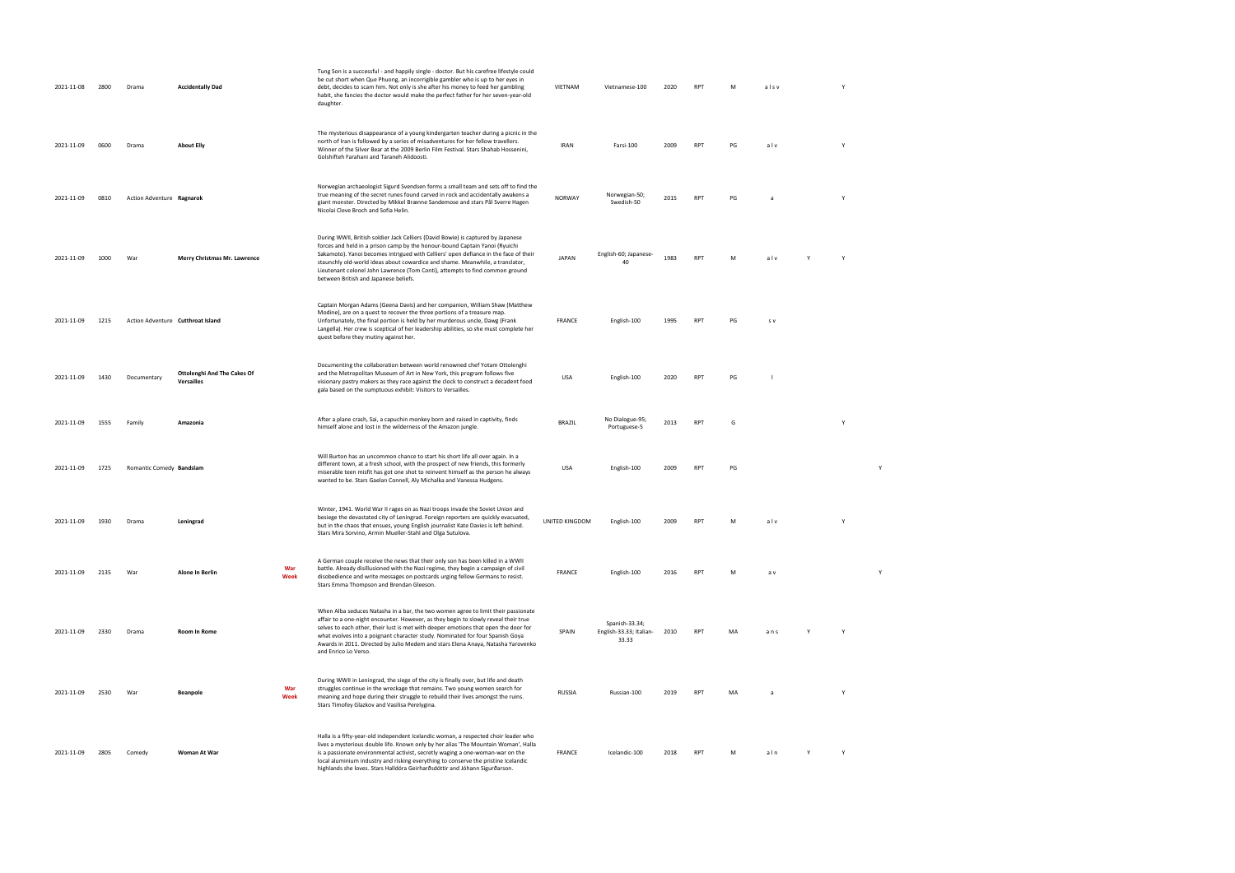| 2021-11-08 | 2800 | Drama                     | <b>Accidentally Dad</b>                   |             | Tung Son is a successful - and happily single - doctor. But his carefree lifestyle could<br>be cut short when Que Phuong, an incorrigible gambler who is up to her eyes in<br>debt, decides to scam him. Not only is she after his money to feed her gambling<br>habit, she fancies the doctor would make the perfect father for her seven-year-old<br>daughter.                                                                                                  | VIETNAM        | Vietnamese-100                                     | 2020 | <b>RPT</b> | M  | alsv     |   | Y            |              |  |  |
|------------|------|---------------------------|-------------------------------------------|-------------|-------------------------------------------------------------------------------------------------------------------------------------------------------------------------------------------------------------------------------------------------------------------------------------------------------------------------------------------------------------------------------------------------------------------------------------------------------------------|----------------|----------------------------------------------------|------|------------|----|----------|---|--------------|--------------|--|--|
| 2021-11-09 | 0600 | Drama                     | <b>About Elly</b>                         |             | The mysterious disappearance of a young kindergarten teacher during a picnic in the<br>north of Iran is followed by a series of misadventures for her fellow travellers.<br>Winner of the Silver Bear at the 2009 Berlin Film Festival. Stars Shahab Hossenini,<br>Golshifteh Farahani and Taraneh Alidoosti.                                                                                                                                                     | <b>IRAN</b>    | Farsi-100                                          | 2009 | <b>RPT</b> | PG | alv      |   | Y            |              |  |  |
| 2021-11-09 | 0810 | Action Adventure Ragnarok |                                           |             | Norwegian archaeologist Sigurd Svendsen forms a small team and sets off to find the<br>true meaning of the secret runes found carved in rock and accidentally awakens a<br>giant monster. Directed by Mikkel Brænne Sandemose and stars Pål Sverre Hagen<br>Nicolai Cleve Broch and Sofia Helin.                                                                                                                                                                  | NORWAY         | Norwegian-50;<br>Swedish-50                        | 2015 | <b>RPT</b> | PG | <b>a</b> |   | Y            |              |  |  |
| 2021-11-09 | 1000 | War                       | Merry Christmas Mr. Lawrence              |             | During WWII, British soldier Jack Celliers (David Bowie) is captured by Japanese<br>forces and held in a prison camp by the honour-bound Captain Yanoi (Ryuichi<br>Sakamoto). Yanoi becomes intrigued with Celliers' open defiance in the face of their<br>staunchly old-world ideas about cowardice and shame. Meanwhile, a translator,<br>Lieutenant colonel John Lawrence (Tom Conti), attempts to find common ground<br>between British and Japanese beliefs. | <b>JAPAN</b>   | English-60; Japanese-                              | 1983 | <b>RPT</b> | M  | alv      |   | $\mathsf{Y}$ |              |  |  |
| 2021-11-09 | 1215 |                           | Action Adventure Cutthroat Island         |             | Captain Morgan Adams (Geena Davis) and her companion, William Shaw (Matthew<br>Modine), are on a quest to recover the three portions of a treasure map.<br>Unfortunately, the final portion is held by her murderous uncle, Dawg (Frank<br>Langella). Her crew is sceptical of her leadership abilities, so she must complete her<br>quest before they mutiny against her.                                                                                        | <b>FRANCE</b>  | English-100                                        | 1995 | <b>RPT</b> | PG | S V      |   |              |              |  |  |
| 2021-11-09 | 1430 | Documentary               | Ottolenghi And The Cakes Of<br>Versailles |             | Documenting the collaboration between world renowned chef Yotam Ottolenghi<br>and the Metropolitan Museum of Art in New York, this program follows five<br>visionary pastry makers as they race against the clock to construct a decadent food<br>gala based on the sumptuous exhibit: Visitors to Versailles.                                                                                                                                                    | <b>USA</b>     | English-100                                        | 2020 | <b>RPT</b> | PG |          |   |              |              |  |  |
| 2021-11-09 | 1555 | Family                    | Amazonia                                  |             | After a plane crash, Sai, a capuchin monkey born and raised in captivity, finds<br>himself alone and lost in the wilderness of the Amazon jungle.                                                                                                                                                                                                                                                                                                                 | BRAZIL         | No Dialogue-95;<br>Portuguese-5                    | 2013 | <b>RPT</b> | G  |          |   |              |              |  |  |
| 2021-11-09 | 1725 | Romantic Comedy Bandslam  |                                           |             | Will Burton has an uncommon chance to start his short life all over again. In a<br>different town, at a fresh school, with the prospect of new friends, this formerly<br>miserable teen misfit has got one shot to reinvent himself as the person he always<br>wanted to be. Stars Gaelan Connell, Aly Michalka and Vanessa Hudgens.                                                                                                                              | <b>USA</b>     | English-100                                        | 2009 | <b>RPT</b> | PG |          |   |              | Y            |  |  |
| 2021-11-09 | 1930 | Drama                     | Leningrad                                 |             | Winter, 1941. World War II rages on as Nazi troops invade the Soviet Union and<br>besiege the devastated city of Leningrad. Foreign reporters are quickly evacuated,<br>but in the chaos that ensues, young English journalist Kate Davies is left behind.<br>Stars Mira Sorvino, Armin Mueller-Stahl and Olga Sutulova.                                                                                                                                          | UNITED KINGDOM | English-100                                        | 2009 | <b>RPT</b> | M  | alv      |   | Y            |              |  |  |
| 2021-11-09 | 2135 | War                       | Alone In Berlin                           | War<br>Week | A German couple receive the news that their only son has been killed in a WWII<br>battle. Already disillusioned with the Nazi regime, they begin a campaign of civil<br>disobedience and write messages on postcards urging fellow Germans to resist.<br>Stars Emma Thompson and Brendan Gleeson.                                                                                                                                                                 | FRANCE         | English-100                                        | 2016 | RPT        | M  | a v      |   |              | $\mathsf{Y}$ |  |  |
| 2021-11-09 | 2330 | Drama                     | Room In Rome                              |             | When Alba seduces Natasha in a bar, the two women agree to limit their passionate<br>affair to a one-night encounter. However, as they begin to slowly reveal their true<br>selves to each other, their lust is met with deeper emotions that open the door for<br>what evolves into a poignant character study. Nominated for four Spanish Goya<br>Awards in 2011. Directed by Julio Medem and stars Elena Anaya, Natasha Yarovenko<br>and Enrico Lo Verso.      | SPAIN          | Spanish-33.34;<br>English-33.33; Italian-<br>33.33 | 2010 | <b>RPT</b> | MA | ans      |   |              |              |  |  |
| 2021-11-09 | 2530 | War                       | Beanpole                                  | War<br>Week | During WWII in Leningrad, the siege of the city is finally over, but life and death<br>struggles continue in the wreckage that remains. Two young women search for<br>meaning and hope during their struggle to rebuild their lives amongst the ruins.<br>Stars Timofey Glazkov and Vasilisa Perelygina.                                                                                                                                                          | <b>RUSSIA</b>  | Russian-100                                        | 2019 | <b>RPT</b> | MA | a        |   |              |              |  |  |
| 2021-11-09 | 2805 | Comedy                    | Woman At War                              |             | Halla is a fifty-year-old independent Icelandic woman, a respected choir leader who<br>lives a mysterious double life. Known only by her alias 'The Mountain Woman', Halla<br>is a passionate environmental activist, secretly waging a one-woman-war on the<br>local aluminium industry and risking everything to conserve the pristine Icelandic<br>highlands she loves. Stars Halldóra Geirharðsdóttir and Jóhann Sigurðarson.                                 | FRANCE         | Icelandic-100                                      | 2018 | <b>RPT</b> | M  | aln      | Y | Y            |              |  |  |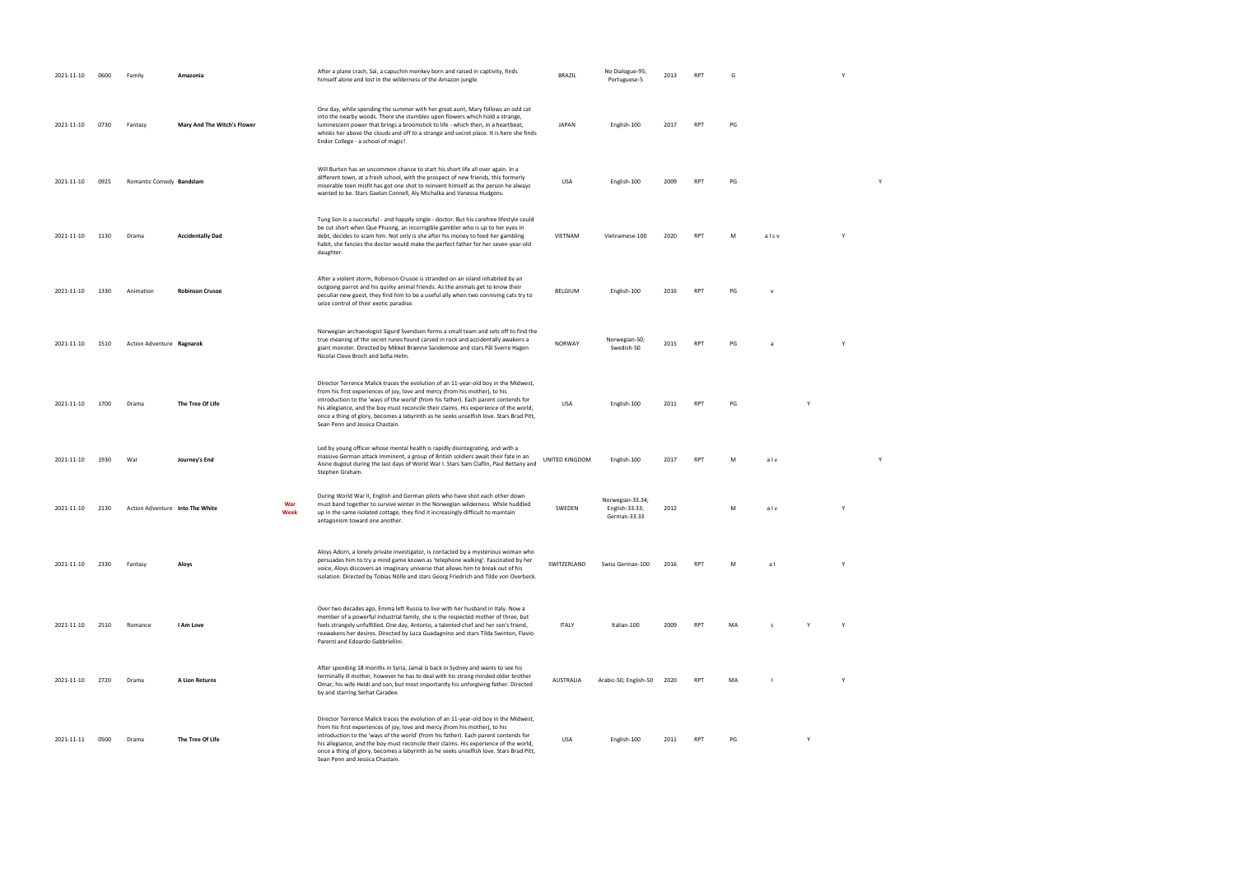| 2021-11-10      | 0600 | Family                          | Amazonia                    |             | After a plane crash, Sai, a capuchin monkey born and raised in captivity, finds<br>himself alone and lost in the wilderness of the Amazon jungle.                                                                                                                                                                                                                                                                                                                                | <b>BRAZIL</b>  | No Dialogue-95;<br>Portuguese-5                    | 2013 | <b>RPT</b> |    |      |   | Y            |   |  |
|-----------------|------|---------------------------------|-----------------------------|-------------|----------------------------------------------------------------------------------------------------------------------------------------------------------------------------------------------------------------------------------------------------------------------------------------------------------------------------------------------------------------------------------------------------------------------------------------------------------------------------------|----------------|----------------------------------------------------|------|------------|----|------|---|--------------|---|--|
| 2021-11-10      | 0730 | Fantasy                         | Mary And The Witch's Flower |             | One day, while spending the summer with her great aunt, Mary follows an odd cat<br>into the nearby woods. There she stumbles upon flowers which hold a strange,<br>luminescent power that brings a broomstick to life - which then, in a heartbeat,<br>whisks her above the clouds and off to a strange and secret place. It is here she finds<br>Endor College - a school of magic!                                                                                             | <b>JAPAN</b>   | English-100                                        | 2017 | <b>RPT</b> | PG |      |   |              |   |  |
| 2021-11-10      | 0925 | Romantic Comedy Bandslam        |                             |             | Will Burton has an uncommon chance to start his short life all over again. In a<br>different town, at a fresh school, with the prospect of new friends, this formerly<br>miserable teen misfit has got one shot to reinvent himself as the person he always<br>wanted to be. Stars Gaelan Connell, Aly Michalka and Vanessa Hudgens.                                                                                                                                             | USA            | English-100                                        | 2009 | <b>RPT</b> | PG |      |   |              | Y |  |
| 2021-11-10      | 1130 | Drama                           | <b>Accidentally Dad</b>     |             | Tung Son is a successful - and happily single - doctor. But his carefree lifestyle could<br>be cut short when Que Phuong, an incorrigible gambler who is up to her eyes in<br>debt, decides to scam him. Not only is she after his money to feed her gambling<br>habit, she fancies the doctor would make the perfect father for her seven-year-old<br>daughter.                                                                                                                 | VIETNAM        | Vietnamese-100                                     | 2020 | <b>RPT</b> | M  | alsv |   | $\mathsf{Y}$ |   |  |
| 2021-11-10      | 1330 | Animation                       | <b>Robinson Crusoe</b>      |             | After a violent storm, Robinson Crusoe is stranded on an island inhabited by an<br>outgoing parrot and his quirky animal friends. As the animals get to know their<br>peculiar new guest, they find him to be a useful ally when two conniving cats try to<br>seize control of their exotic paradise.                                                                                                                                                                            | BELGIUM        | English-100                                        | 2016 | <b>RPT</b> | PG |      |   |              |   |  |
| 2021-11-10      | 1510 | Action Adventure Ragnarok       |                             |             | Norwegian archaeologist Sigurd Svendsen forms a small team and sets off to find the<br>true meaning of the secret runes found carved in rock and accidentally awakens a<br>giant monster. Directed by Mikkel Brænne Sandemose and stars Pål Sverre Hagen<br>Nicolai Cleve Broch and Sofia Helin.                                                                                                                                                                                 | <b>NORWAY</b>  | Norwegian-50;<br>Swedish-50                        | 2015 | <b>RPT</b> | PG | -a   |   | Y            |   |  |
| 2021-11-10      | 1700 | Drama                           | The Tree Of Life            |             | Director Terrence Malick traces the evolution of an 11-year-old boy in the Midwest,<br>from his first experiences of joy, love and mercy (from his mother), to his<br>introduction to the 'ways of the world' (from his father). Each parent contends for<br>his allegiance, and the boy must reconcile their claims. His experience of the world,<br>once a thing of glory, becomes a labyrinth as he seeks unselfish love. Stars Brad Pitt,<br>Sean Penn and Jessica Chastain. | USA            | English-100                                        | 2011 | RPT        | PG |      |   |              |   |  |
| 2021-11-10      | 1930 | War                             | Journey's End               |             | Led by young officer whose mental health is rapidly disintegrating, and with a<br>massive German attack imminent, a group of British soldiers await their fate in an<br>Aisne dugout during the last days of World War I. Stars Sam Claflin, Paul Bettany and<br>Stephen Graham.                                                                                                                                                                                                 | UNITED KINGDOM | English-100                                        | 2017 | <b>RPT</b> | M  | alv  |   |              | Y |  |
| 2021-11-10      | 2130 | Action Adventure Into The White |                             | War<br>Week | During World War II, English and German pilots who have shot each other down<br>must band together to survive winter in the Norwegian wilderness. While huddled<br>up in the same isolated cottage, they find it increasingly difficult to maintain<br>antagonism toward one another.                                                                                                                                                                                            | SWEDEN         | Norwegian-33.34;<br>English-33.33;<br>German-33.33 | 2012 |            | M  | alv  |   | Y            |   |  |
| 2021-11-10      | 2330 | Fantasy                         | Aloys                       |             | Aloys Adorn, a lonely private investigator, is contacted by a mysterious woman who<br>persuades him to try a mind game known as 'telephone walking'. Fascinated by her<br>voice, Aloys discovers an imaginary universe that allows him to break out of his<br>isolation. Directed by Tobias Nölle and stars Georg Friedrich and Tilde von Overbeck.                                                                                                                              | SWITZERLAND    | Swiss German-100                                   | 2016 | <b>RPT</b> | M  | al   |   | $\mathsf{Y}$ |   |  |
| 2021-11-10      | 2510 | Romance                         | I Am Love                   |             | Over two decades ago, Emma left Russia to live with her husband in Italy. Now a<br>member of a powerful industrial family, she is the respected mother of three, but<br>feels strangely unfulfilled. One day, Antonio, a talented chef and her son's friend,<br>reawakens her desires. Directed by Luca Guadagnino and stars Tilda Swinton, Flavio<br>Parenti and Edoardo Gabbriellini.                                                                                          | <b>ITALY</b>   | Italian-100                                        | 2009 | <b>RPT</b> | MA | -S.  | Y | Y            |   |  |
| 2021-11-10 2720 |      | Drama                           | A Lion Returns              |             | After spending 18 months in Syria, Jamal is back in Sydney and wants to see his<br>terminally ill mother, however he has to deal with his strong minded older brother<br>Omar, his wife Heidi and son, but most importantly his unforgiving father. Directed<br>by and starring Serhat Caradee.                                                                                                                                                                                  | AUSTRALIA      | Arabic-50; English-50 2020                         |      | RPT        | MA |      |   | Y            |   |  |
| 2021-11-11      | 0500 | Drama                           | The Tree Of Life            |             | Director Terrence Malick traces the evolution of an 11-year-old boy in the Midwest,<br>from his first experiences of joy, love and mercy (from his mother), to his<br>introduction to the 'ways of the world' (from his father). Each parent contends for<br>his allegiance, and the boy must reconcile their claims. His experience of the world,<br>once a thing of glory, becomes a labyrinth as he seeks unselfish love. Stars Brad Pitt,<br>Sean Penn and Jessica Chastain. | USA            | English-100                                        | 2011 | <b>RPT</b> | PG |      | Y |              |   |  |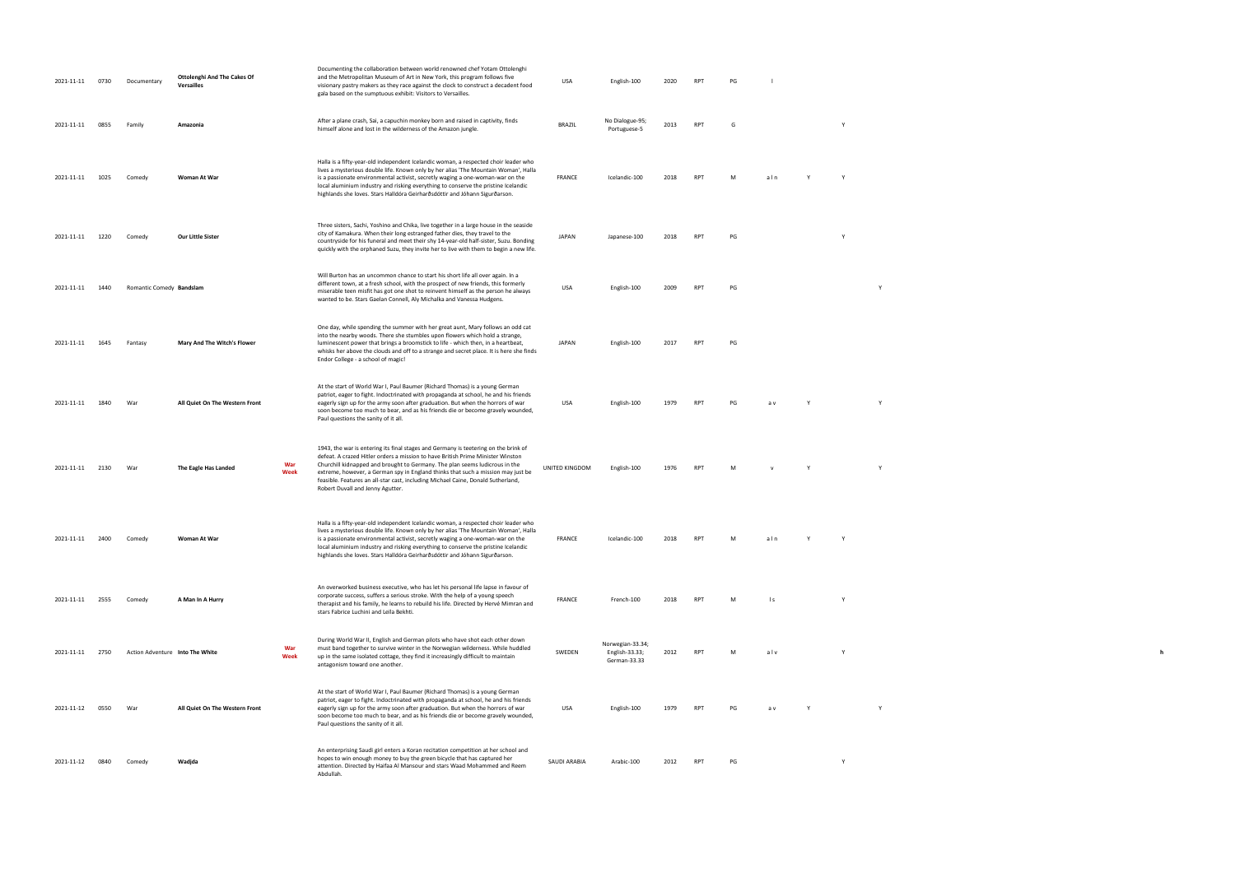| 2021-11-11 | 0730 | Documentary              | Ottolenghi And The Cakes Of<br>Versailles |             | Documenting the collaboration between world renowned chef Yotam Ottolenghi<br>and the Metropolitan Museum of Art in New York, this program follows five<br>visionary pastry makers as they race against the clock to construct a decadent food<br>gala based on the sumptuous exhibit: Visitors to Versailles.                                                                                                                                                    | USA            | English-100                                        | 2020 | RPT             | PG |                 |   |  |
|------------|------|--------------------------|-------------------------------------------|-------------|-------------------------------------------------------------------------------------------------------------------------------------------------------------------------------------------------------------------------------------------------------------------------------------------------------------------------------------------------------------------------------------------------------------------------------------------------------------------|----------------|----------------------------------------------------|------|-----------------|----|-----------------|---|--|
| 2021-11-11 | 0855 | Family                   | Amazonia                                  |             | After a plane crash, Sai, a capuchin monkey born and raised in captivity, finds<br>himself alone and lost in the wilderness of the Amazon jungle.                                                                                                                                                                                                                                                                                                                 | <b>BRAZIL</b>  | No Dialogue-95;<br>Portuguese-5                    | 2013 | <b>RPT</b>      | G  |                 | Y |  |
| 2021-11-11 | 1025 | Comedy                   | Woman At War                              |             | Halla is a fifty-year-old independent Icelandic woman, a respected choir leader who<br>lives a mysterious double life. Known only by her alias 'The Mountain Woman', Halla<br>is a passionate environmental activist, secretly waging a one-woman-war on the<br>local aluminium industry and risking everything to conserve the pristine Icelandic<br>highlands she loves. Stars Halldóra Geirharðsdóttir and Jóhann Sigurðarson.                                 | FRANCE         | Icelandic-100                                      | 2018 | RPT             | M  | aln             |   |  |
| 2021-11-11 | 1220 | Comedy                   | Our Little Sister                         |             | Three sisters, Sachi, Yoshino and Chika, live together in a large house in the seaside<br>city of Kamakura. When their long estranged father dies, they travel to the<br>countryside for his funeral and meet their shy 14-year-old half-sister, Suzu. Bonding<br>quickly with the orphaned Suzu, they invite her to live with them to begin a new life.                                                                                                          | <b>JAPAN</b>   | Japanese-100                                       | 2018 | <b>RPT</b>      | PG |                 | Y |  |
| 2021-11-11 | 1440 | Romantic Comedy Bandslam |                                           |             | Will Burton has an uncommon chance to start his short life all over again. In a<br>different town, at a fresh school, with the prospect of new friends, this formerly<br>miserable teen misfit has got one shot to reinvent himself as the person he always<br>wanted to be. Stars Gaelan Connell, Aly Michalka and Vanessa Hudgens.                                                                                                                              | USA            | English-100                                        | 2009 | RP <sub>1</sub> | PG |                 |   |  |
| 2021-11-11 | 1645 | Fantasy                  | Mary And The Witch's Flower               |             | One day, while spending the summer with her great aunt, Mary follows an odd cat<br>into the nearby woods. There she stumbles upon flowers which hold a strange,<br>luminescent power that brings a broomstick to life - which then, in a heartbeat,<br>whisks her above the clouds and off to a strange and secret place. It is here she finds<br>Endor College - a school of magic!                                                                              | JAPAN          | English-100                                        | 2017 | <b>RPT</b>      | PG |                 |   |  |
| 2021-11-11 | 1840 | War                      | All Quiet On The Western Front            |             | At the start of World War I, Paul Baumer (Richard Thomas) is a young German<br>patriot, eager to fight. Indoctrinated with propaganda at school, he and his friends<br>eagerly sign up for the army soon after graduation. But when the horrors of war<br>soon become too much to bear, and as his friends die or become gravely wounded,<br>Paul questions the sanity of it all.                                                                                 | USA            | English-100                                        | 1979 | RP <sub>1</sub> | PG | a v             |   |  |
| 2021-11-11 | 2130 | War                      | The Eagle Has Landed                      | War<br>Week | 1943, the war is entering its final stages and Germany is teetering on the brink of<br>defeat. A crazed Hitler orders a mission to have British Prime Minister Winston<br>Churchill kidnapped and brought to Germany. The plan seems ludicrous in the<br>extreme, however, a German spy in England thinks that such a mission may just be<br>feasible. Features an all-star cast, including Michael Caine, Donald Sutherland,<br>Robert Duvall and Jenny Agutter. | UNITED KINGDOM | English-100                                        | 1976 | RP <sub>1</sub> |    |                 |   |  |
| 2021-11-11 | 2400 | Comedy                   | Woman At War                              |             | Halla is a fifty-year-old independent Icelandic woman, a respected choir leader who<br>lives a mysterious double life. Known only by her alias 'The Mountain Woman', Halla<br>is a passionate environmental activist, secretly waging a one-woman-war on the<br>local aluminium industry and risking everything to conserve the pristine Icelandic<br>highlands she loves. Stars Halldóra Geirharðsdóttir and Jóhann Sigurðarson.                                 | <b>FRANCE</b>  | Icelandic-100                                      |      |                 |    | aln             |   |  |
| 2021-11-11 | 2555 | Comedy                   | A Man In A Hurry                          |             | An overworked business executive, who has let his personal life lapse in favour of<br>corporate success, suffers a serious stroke. With the help of a young speech<br>therapist and his family, he learns to rebuild his life. Directed by Hervé Mimran and<br>stars Fabrice Luchini and Leïla Bekhti.                                                                                                                                                            | <b>FRANCE</b>  | French-100                                         | 2018 | <b>RPT</b>      | M  | $\vert s \vert$ |   |  |
| 2021-11-11 | 2750 |                          | Action Adventure Into The White           | War<br>Week | During World War II, English and German pilots who have shot each other down<br>must band together to survive winter in the Norwegian wilderness. While huddled<br>up in the same isolated cottage, they find it increasingly difficult to maintain<br>antagonism toward one another.                                                                                                                                                                             | SWEDEN         | Norwegian-33.34;<br>English-33.33;<br>German-33.33 | 2012 | <b>RPT</b>      | M  | alv             | Y |  |
| 2021-11-12 | 0550 | War                      | All Quiet On The Western Front            |             | At the start of World War I, Paul Baumer (Richard Thomas) is a young German<br>patriot, eager to fight. Indoctrinated with propaganda at school, he and his friends<br>eagerly sign up for the army soon after graduation. But when the horrors of war<br>soon become too much to bear, and as his friends die or become gravely wounded,<br>Paul questions the sanity of it all.                                                                                 | USA            | English-100                                        | 1979 | <b>RPT</b>      | PG | a v             |   |  |
| 2021-11-12 | 0840 | Comedy                   | Wadjda                                    |             | An enterprising Saudi girl enters a Koran recitation competition at her school and<br>hopes to win enough money to buy the green bicycle that has captured her<br>attention. Directed by Haifaa Al Mansour and stars Waad Mohammed and Reem<br>Abdullah.                                                                                                                                                                                                          | SAUDI ARABIA   | Arabic-100                                         | 2012 | <b>RPT</b>      | PG |                 | Y |  |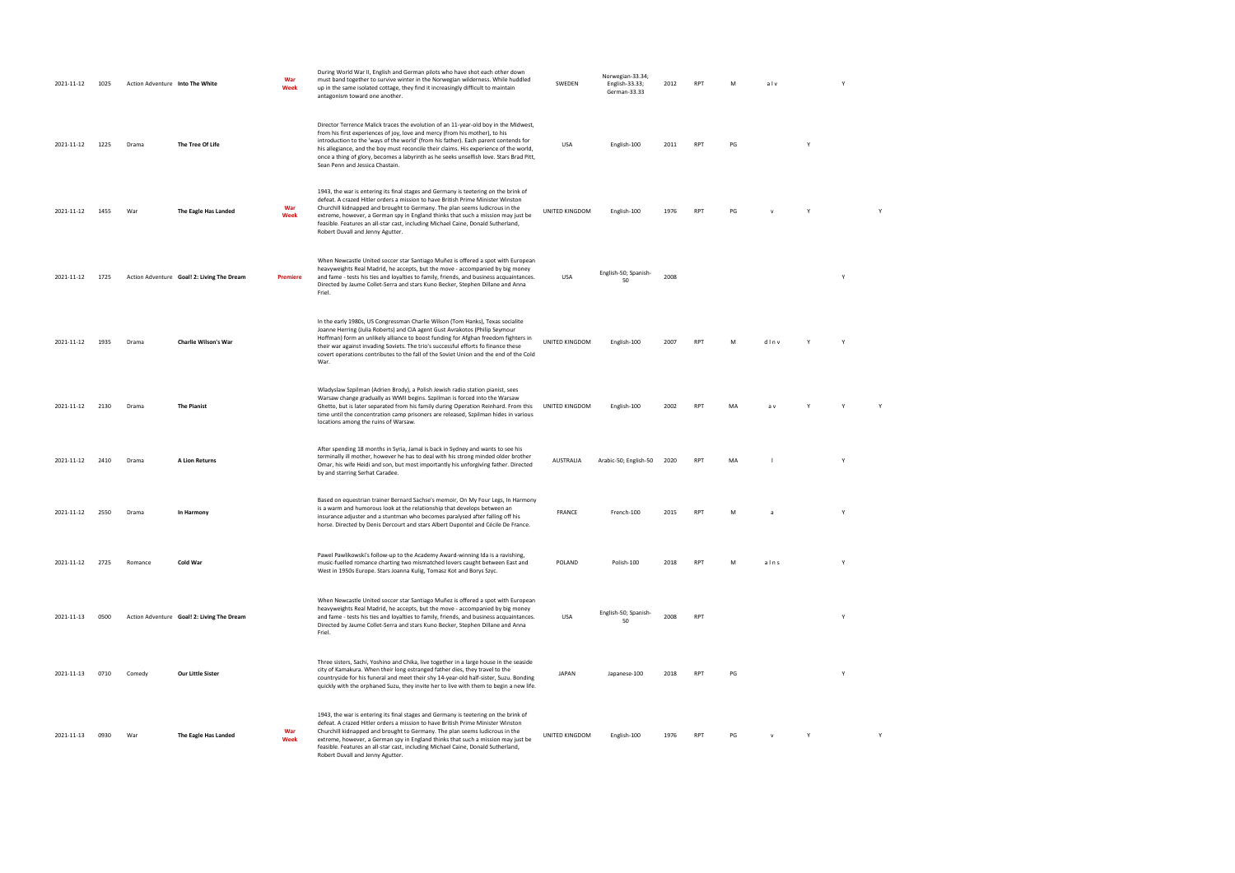| 2021-11-12 | 1025 | Action Adventure Into The White |                                            | War<br>Week | During World War II, English and German pilots who have shot each other down<br>must band together to survive winter in the Norwegian wilderness. While huddled<br>up in the same isolated cottage, they find it increasingly difficult to maintain<br>antagonism toward one another.                                                                                                                                                                                            | SWEDEN         | Norwegian-33.34;<br>English-33.33;<br>German-33.33 | 2012 | <b>RPT</b> | M  | alv  |              |              |   |
|------------|------|---------------------------------|--------------------------------------------|-------------|----------------------------------------------------------------------------------------------------------------------------------------------------------------------------------------------------------------------------------------------------------------------------------------------------------------------------------------------------------------------------------------------------------------------------------------------------------------------------------|----------------|----------------------------------------------------|------|------------|----|------|--------------|--------------|---|
| 2021-11-12 | 1225 | Drama                           | The Tree Of Life                           |             | Director Terrence Malick traces the evolution of an 11-year-old boy in the Midwest,<br>from his first experiences of joy, love and mercy (from his mother), to his<br>introduction to the 'ways of the world' (from his father). Each parent contends for<br>his allegiance, and the boy must reconcile their claims. His experience of the world,<br>once a thing of glory, becomes a labyrinth as he seeks unselfish love. Stars Brad Pitt,<br>Sean Penn and Jessica Chastain. | USA            | English-100                                        | 2011 | <b>RPT</b> | PG |      | Y            |              |   |
| 2021-11-12 | 1455 | War                             | The Eagle Has Landed                       | War<br>Week | 1943, the war is entering its final stages and Germany is teetering on the brink of<br>defeat. A crazed Hitler orders a mission to have British Prime Minister Winston<br>Churchill kidnapped and brought to Germany. The plan seems ludicrous in the<br>extreme, however, a German spy in England thinks that such a mission may just be<br>feasible. Features an all-star cast, including Michael Caine, Donald Sutherland,<br>Robert Duvall and Jenny Agutter.                | UNITED KINGDOM | English-100                                        | 1976 | <b>RPT</b> | PG |      | $\mathsf{Y}$ |              | Y |
| 2021-11-12 | 1725 |                                 | Action Adventure Goal! 2: Living The Dream | Premiere    | When Newcastle United soccer star Santiago Muñez is offered a spot with European<br>heavyweights Real Madrid, he accepts, but the move - accompanied by big money<br>and fame - tests his ties and loyalties to family, friends, and business acquaintances.<br>Directed by Jaume Collet-Serra and stars Kuno Becker, Stephen Dillane and Anna<br>Friel.                                                                                                                         | USA            | English-50; Spanish-<br>50                         | 2008 |            |    |      |              | Y            |   |
| 2021-11-12 | 1935 | Drama                           | <b>Charlie Wilson's War</b>                |             | In the early 1980s, US Congressman Charlie Wilson (Tom Hanks), Texas socialite<br>Joanne Herring (Julia Roberts) and CIA agent Gust Avrakotos (Philip Seymour<br>Hoffman) form an unlikely alliance to boost funding for Afghan freedom fighters in<br>their war against invading Soviets. The trio's successful efforts fo finance these<br>covert operations contributes to the fall of the Soviet Union and the end of the Cold<br>War.                                       | UNITED KINGDOM | English-100                                        | 2007 | <b>RPT</b> | M  | dinv | Y            |              |   |
| 2021-11-12 | 2130 | Drama                           | <b>The Pianist</b>                         |             | Wladyslaw Szpilman (Adrien Brody), a Polish Jewish radio station pianist, sees<br>Warsaw change gradually as WWII begins. Szpilman is forced into the Warsaw<br>Ghetto, but is later separated from his family during Operation Reinhard. From this<br>time until the concentration camp prisoners are released, Szpilman hides in various<br>locations among the ruins of Warsaw.                                                                                               | UNITED KINGDOM | English-100                                        | 2002 | <b>RPT</b> | MA | a v  |              |              |   |
| 2021-11-12 | 2410 | Drama                           | A Lion Returns                             |             | After spending 18 months in Syria, Jamal is back in Sydney and wants to see his<br>terminally ill mother, however he has to deal with his strong minded older brother<br>Omar, his wife Heidi and son, but most importantly his unforgiving father. Directed<br>by and starring Serhat Caradee.                                                                                                                                                                                  | AUSTRALIA      | Arabic-50; English-50 2020                         |      | <b>RPT</b> | MA |      |              | Y            |   |
| 2021-11-12 | 2550 | Drama                           | In Harmony                                 |             | Based on equestrian trainer Bernard Sachse's memoir, On My Four Legs, In Harmony<br>is a warm and humorous look at the relationship that develops between an<br>insurance adjuster and a stuntman who becomes paralysed after falling off his<br>horse. Directed by Denis Dercourt and stars Albert Dupontel and Cécile De France.                                                                                                                                               | <b>FRANCE</b>  | French-100                                         | 2015 | <b>RPT</b> | M  |      |              | Y            |   |
| 2021-11-12 | 2725 | Romance                         | Cold War                                   |             | Pawel Pawlikowski's follow-up to the Academy Award-winning Ida is a ravishing,<br>music-fuelled romance charting two mismatched lovers caught between East and<br>West in 1950s Europe. Stars Joanna Kulig, Tomasz Kot and Borys Szyc.                                                                                                                                                                                                                                           | POLAND         | Polish-100                                         | 2018 | <b>RPT</b> | M  | alns |              | $\mathbf{v}$ |   |
| 2021-11-13 | 0500 |                                 | Action Adventure Goal! 2: Living The Dream |             | When Newcastle United soccer star Santiago Muñez is offered a spot with European<br>heavyweights Real Madrid, he accepts, but the move - accompanied by big money<br>and fame - tests his ties and loyalties to family, friends, and business acquaintances.<br>Directed by Jaume Collet-Serra and stars Kuno Becker, Stephen Dillane and Anna<br>Friel.                                                                                                                         | USA            | English-50; Spanish-<br>50                         | 2008 | <b>RPT</b> |    |      |              | Y            |   |
| 2021-11-13 | 0710 | Comedy                          | Our Little Sister                          |             | Three sisters, Sachi, Yoshino and Chika, live together in a large house in the seaside<br>city of Kamakura. When their long estranged father dies, they travel to the<br>countryside for his funeral and meet their shy 14-year-old half-sister, Suzu. Bonding<br>quickly with the orphaned Suzu, they invite her to live with them to begin a new life.                                                                                                                         | JAPAN          | Japanese-100                                       | 2018 | <b>RPT</b> | PG |      |              |              |   |
| 2021-11-13 | 0930 | War                             | The Eagle Has Landed                       | War<br>Week | 1943, the war is entering its final stages and Germany is teetering on the brink of<br>defeat. A crazed Hitler orders a mission to have British Prime Minister Winston<br>Churchill kidnapped and brought to Germany. The plan seems ludicrous in the<br>extreme, however, a German spy in England thinks that such a mission may just be<br>feasible. Features an all-star cast, including Michael Caine, Donald Sutherland,<br>Robert Duvall and Jenny Agutter.                | UNITED KINGDOM | English-100                                        | 1976 | <b>RPT</b> | PG |      | Y            |              | Y |